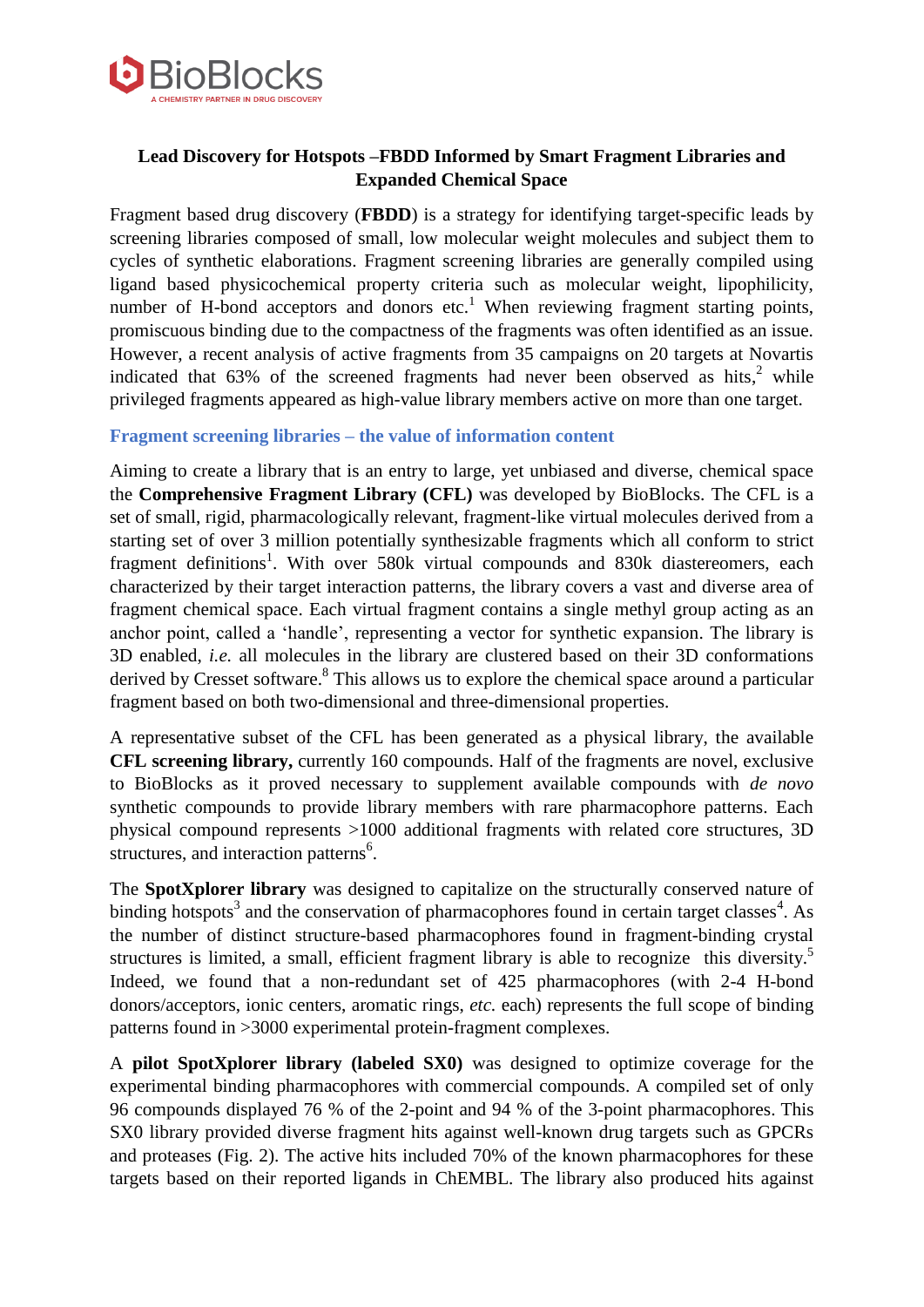

# **Lead Discovery for Hotspots –FBDD Informed by Smart Fragment Libraries and Expanded Chemical Space**

Fragment based drug discovery (**FBDD**) is a strategy for identifying target-specific leads by screening libraries composed of small, low molecular weight molecules and subject them to cycles of synthetic elaborations. Fragment screening libraries are generally compiled using ligand based physicochemical property criteria such as molecular weight, lipophilicity, number of H-bond acceptors and donors etc.<sup>1</sup> When reviewing fragment starting points, promiscuous binding due to the compactness of the fragments was often identified as an issue. However, a recent analysis of active fragments from 35 campaigns on 20 targets at Novartis indicated that  $63\%$  of the screened fragments had never been observed as hits,<sup>2</sup> while privileged fragments appeared as high-value library members active on more than one target.

## **Fragment screening libraries – the value of information content**

Aiming to create a library that is an entry to large, yet unbiased and diverse, chemical space the **Comprehensive Fragment Library (CFL)** was developed by BioBlocks. The CFL is a set of small, rigid, pharmacologically relevant, fragment-like virtual molecules derived from a starting set of over 3 million potentially synthesizable fragments which all conform to strict fragment definitions<sup>1</sup>. With over 580k virtual compounds and 830k diastereomers, each characterized by their target interaction patterns, the library covers a vast and diverse area of fragment chemical space. Each virtual fragment contains a single methyl group acting as an anchor point, called a 'handle', representing a vector for synthetic expansion. The library is 3D enabled, *i.e.* all molecules in the library are clustered based on their 3D conformations derived by Cresset software.<sup>8</sup> This allows us to explore the chemical space around a particular fragment based on both two-dimensional and three-dimensional properties.

A representative subset of the CFL has been generated as a physical library, the available **CFL screening library,** currently 160 compounds. Half of the fragments are novel, exclusive to BioBlocks as it proved necessary to supplement available compounds with *de novo* synthetic compounds to provide library members with rare pharmacophore patterns. Each physical compound represents >1000 additional fragments with related core structures, 3D structures, and interaction patterns<sup>6</sup>.

The **SpotXplorer library** was designed to capitalize on the structurally conserved nature of binding hotspots<sup>3</sup> and the conservation of pharmacophores found in certain target classes<sup>4</sup>. As the number of distinct structure-based pharmacophores found in fragment-binding crystal structures is limited, a small, efficient fragment library is able to recognize this diversity.<sup>5</sup> Indeed, we found that a non-redundant set of 425 pharmacophores (with 2-4 H-bond donors/acceptors, ionic centers, aromatic rings, *etc.* each) represents the full scope of binding patterns found in >3000 experimental protein-fragment complexes.

A **pilot SpotXplorer library (labeled SX0)** was designed to optimize coverage for the experimental binding pharmacophores with commercial compounds. A compiled set of only 96 compounds displayed 76 % of the 2-point and 94 % of the 3-point pharmacophores. This SX0 library provided diverse fragment hits against well-known drug targets such as GPCRs and proteases (Fig. 2). The active hits included 70% of the known pharmacophores for these targets based on their reported ligands in ChEMBL. The library also produced hits against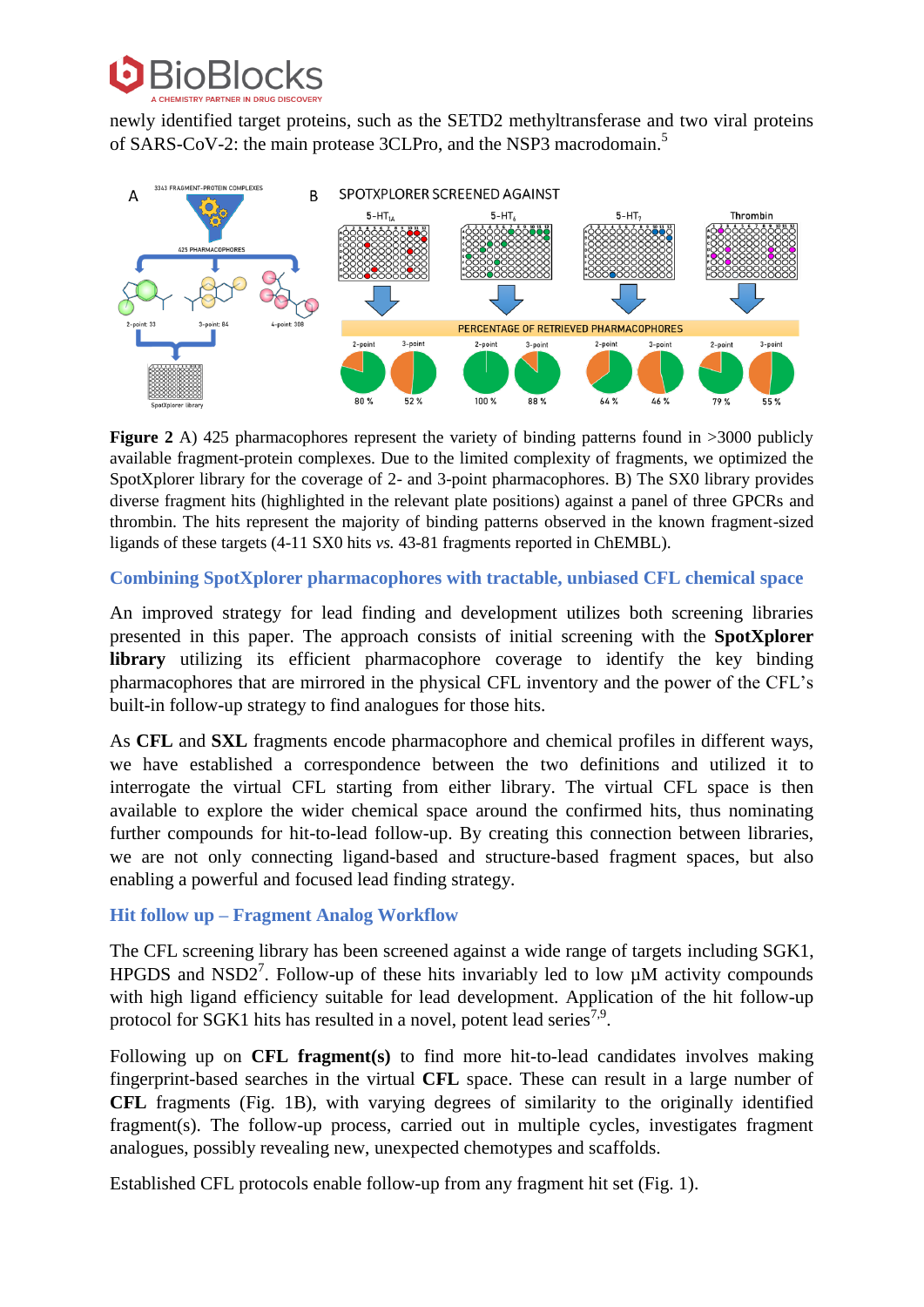

newly identified target proteins, such as the SETD2 methyltransferase and two viral proteins of SARS-CoV-2: the main protease 3CLPro, and the NSP3 macrodomain.<sup>5</sup>



**Figure 2** A) 425 pharmacophores represent the variety of binding patterns found in >3000 publicly available fragment-protein complexes. Due to the limited complexity of fragments, we optimized the SpotXplorer library for the coverage of 2- and 3-point pharmacophores. B) The SX0 library provides diverse fragment hits (highlighted in the relevant plate positions) against a panel of three GPCRs and thrombin. The hits represent the majority of binding patterns observed in the known fragment-sized ligands of these targets (4-11 SX0 hits *vs.* 43-81 fragments reported in ChEMBL).

## **Combining SpotXplorer pharmacophores with tractable, unbiased CFL chemical space**

An improved strategy for lead finding and development utilizes both screening libraries presented in this paper. The approach consists of initial screening with the **SpotXplorer library** utilizing its efficient pharmacophore coverage to identify the key binding pharmacophores that are mirrored in the physical CFL inventory and the power of the CFL's built-in follow-up strategy to find analogues for those hits.

As **CFL** and **SXL** fragments encode pharmacophore and chemical profiles in different ways, we have established a correspondence between the two definitions and utilized it to interrogate the virtual CFL starting from either library. The virtual CFL space is then available to explore the wider chemical space around the confirmed hits, thus nominating further compounds for hit-to-lead follow-up. By creating this connection between libraries, we are not only connecting ligand-based and structure-based fragment spaces, but also enabling a powerful and focused lead finding strategy.

## **Hit follow up – Fragment Analog Workflow**

The CFL screening library has been screened against a wide range of targets including SGK1, HPGDS and NSD2<sup>7</sup>. Follow-up of these hits invariably led to low  $\mu$ M activity compounds with high ligand efficiency suitable for lead development. Application of the hit follow-up protocol for SGK1 hits has resulted in a novel, potent lead series<sup>7,9</sup>.

Following up on **CFL fragment(s)** to find more hit-to-lead candidates involves making fingerprint-based searches in the virtual **CFL** space. These can result in a large number of **CFL** fragments (Fig. 1B), with varying degrees of similarity to the originally identified fragment(s). The follow-up process, carried out in multiple cycles, investigates fragment analogues, possibly revealing new, unexpected chemotypes and scaffolds.

Established CFL protocols enable follow-up from any fragment hit set (Fig. 1).